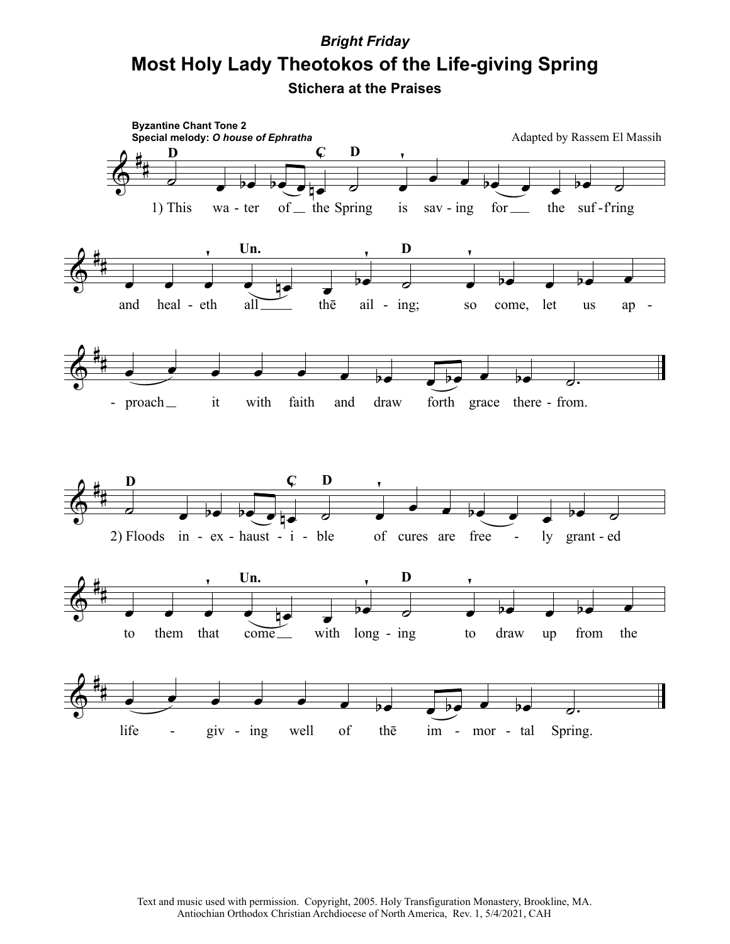## **Most Holy Lady Theotokos of the Life-giving Spring** *Bright Friday*

**Stichera at the Praises**



Text and music used with permission. Copyright, 2005. Holy Transfiguration Monastery, Brookline, MA. Antiochian Orthodox Christian Archdiocese of North America, Rev. 1, 5/4/2021, CAH